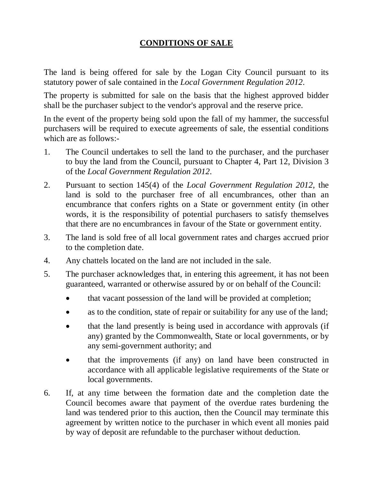## **CONDITIONS OF SALE**

 The land is being offered for sale by the Logan City Council pursuant to its statutory power of sale contained in the *Local Government Regulation 2012*.

 The property is submitted for sale on the basis that the highest approved bidder shall be the purchaser subject to the vendor's approval and the reserve price.

 In the event of the property being sold upon the fall of my hammer, the successful purchasers will be required to execute agreements of sale, the essential conditions which are as follows:-

- 1. The Council undertakes to sell the land to the purchaser, and the purchaser to buy the land from the Council, pursuant to Chapter 4, Part 12, Division 3 of the *Local Government Regulation 2012*.
- 2. Pursuant to section 145(4) of the *Local Government Regulation 2012*, the land is sold to the purchaser free of all encumbrances, other than an encumbrance that confers rights on a State or government entity (in other words, it is the responsibility of potential purchasers to satisfy themselves that there are no encumbrances in favour of the State or government entity.
- 3. The land is sold free of all local government rates and charges accrued prior to the completion date.
- 4. Any chattels located on the land are not included in the sale.
- 5. The purchaser acknowledges that, in entering this agreement, it has not been guaranteed, warranted or otherwise assured by or on behalf of the Council:
	- that vacant possession of the land will be provided at completion;
	- as to the condition, state of repair or suitability for any use of the land;
	- that the land presently is being used in accordance with approvals (if any) granted by the Commonwealth, State or local governments, or by any semi-government authority; and
	- • that the improvements (if any) on land have been constructed in accordance with all applicable legislative requirements of the State or local governments.
- agreement by written notice to the purchaser in which event all monies paid 6. If, at any time between the formation date and the completion date the Council becomes aware that payment of the overdue rates burdening the land was tendered prior to this auction, then the Council may terminate this by way of deposit are refundable to the purchaser without deduction.